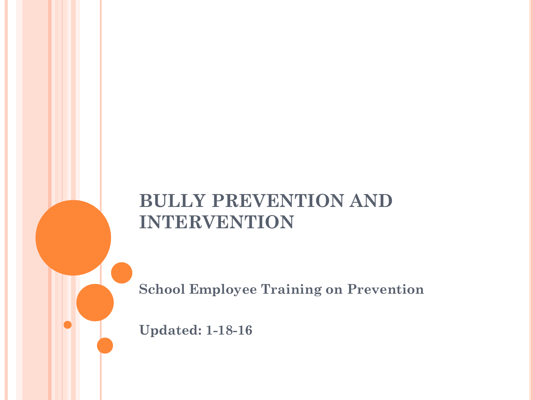#### **BULLY PREVENTION AND INTERVENTION**

**School Employee Training on Prevention**

**Updated: 1-18-16**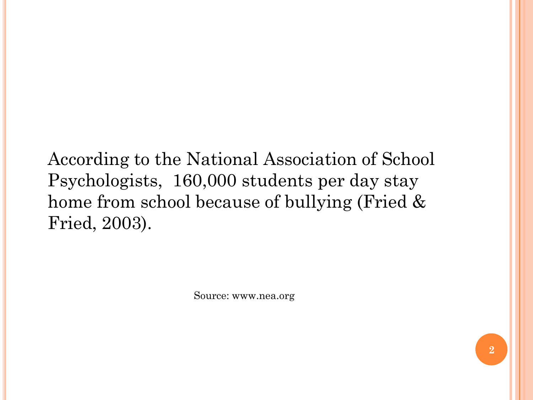According to the National Association of School Psychologists, 160,000 students per day stay home from school because of bullying (Fried & Fried, 2003).

Source: www.nea.org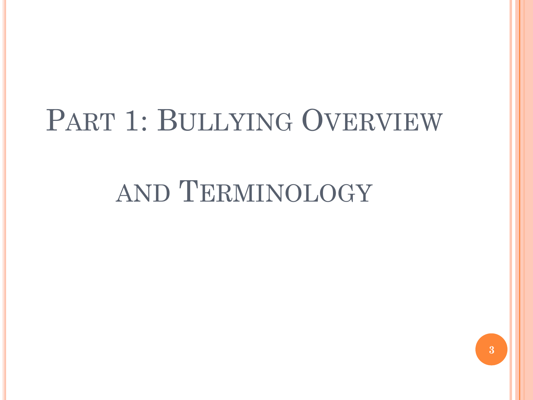# PART 1: BULLYING OVERVIEW

# AND TERMINOLOGY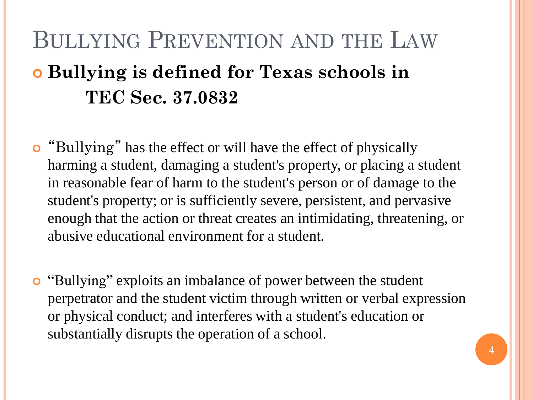## BULLYING PREVENTION AND THE LAW **Bullying is defined for Texas schools in TEC Sec. 37.0832**

- "Bullying" has the effect or will have the effect of physically harming a student, damaging a student's property, or placing a student in reasonable fear of harm to the student's person or of damage to the student's property; or is sufficiently severe, persistent, and pervasive enough that the action or threat creates an intimidating, threatening, or abusive educational environment for a student.
- "Bullying" exploits an imbalance of power between the student perpetrator and the student victim through written or verbal expression or physical conduct; and interferes with a student's education or substantially disrupts the operation of a school.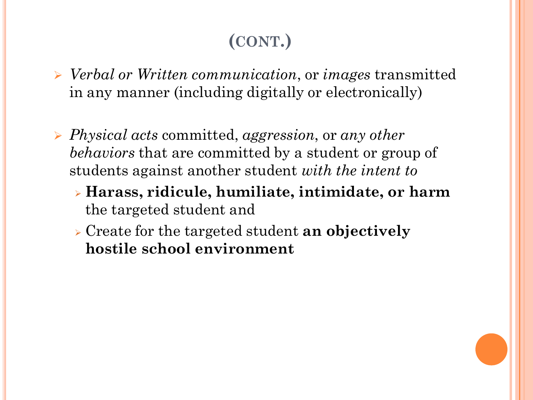### **(CONT.)**

- *Verbal or Written communication*, or *images* transmitted in any manner (including digitally or electronically)
- *Physical acts* committed, *aggression*, or *any other behaviors* that are committed by a student or group of students against another student *with the intent to*
	- **Harass, ridicule, humiliate, intimidate, or harm** the targeted student and
	- Create for the targeted student **an objectively hostile school environment**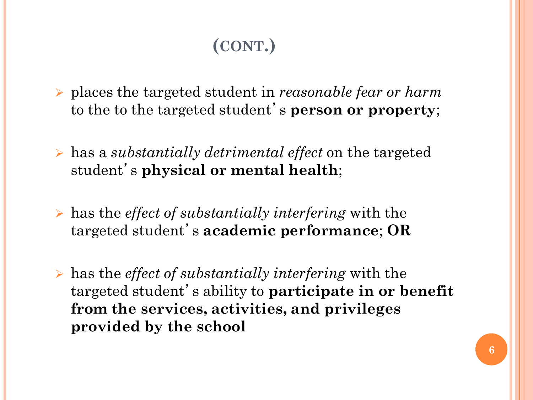### **(CONT.)**

- places the targeted student in *reasonable fear or harm*  to the to the targeted student' s **person or property**;
- has a *substantially detrimental effect* on the targeted student' s **physical or mental health**;
- has the *effect of substantially interfering* with the targeted student' s **academic performance**; **OR**
- has the *effect of substantially interfering* with the targeted student's ability to **participate in or benefit from the services, activities, and privileges provided by the school**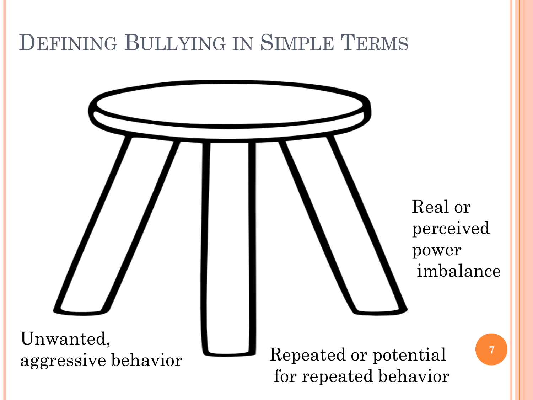## DEFINING BULLYING IN SIMPLE TERMS

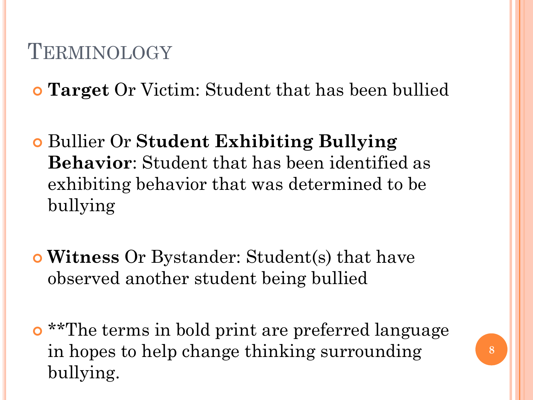### **TERMINOLOGY**

**Target** Or Victim: Student that has been bullied

- Bullier Or **Student Exhibiting Bullying Behavior**: Student that has been identified as exhibiting behavior that was determined to be bullying
- **Witness** Or Bystander: Student(s) that have observed another student being bullied
- **o** \*\*The terms in bold print are preferred language in hopes to help change thinking surrounding bullying.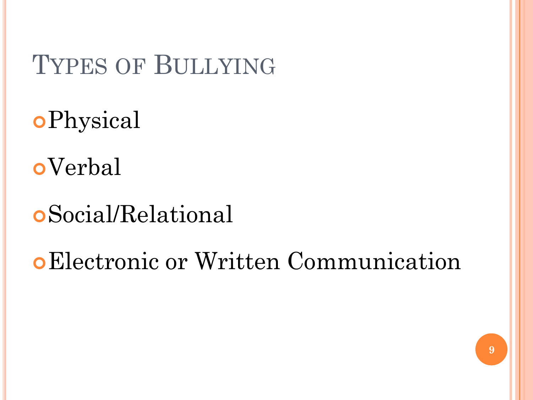## TYPES OF BULLYING

- Physical
- Verbal
- Social/Relational
- Electronic or Written Communication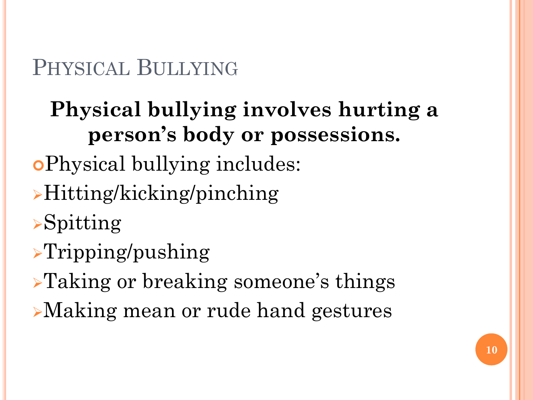### PHYSICAL BULLYING

## **Physical bullying involves hurting a person's body or possessions.**

- Physical bullying includes:
- Hitting/kicking/pinching
- $\triangleright$ Spitting
- $\Gamma$ ripping/pushing
- Taking or breaking someone's things
- Making mean or rude hand gestures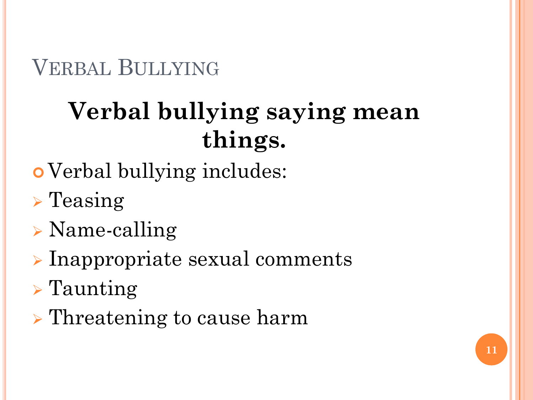VERBAL BULLYING

# **Verbal bullying saying mean things.**

- Verbal bullying includes:
- $\triangleright$  Teasing
- Name-calling
- $\triangleright$  Inappropriate sexual comments
- $\triangleright$  Taunting
- **Threatening to cause harm**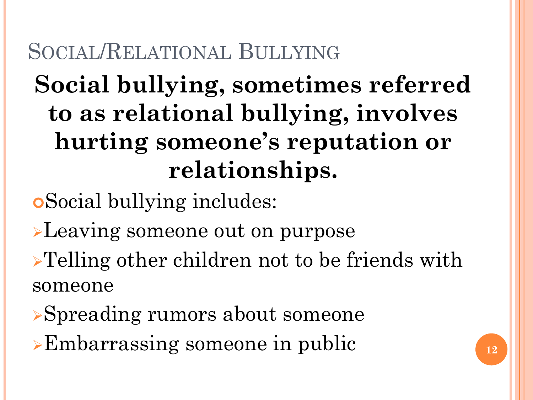## SOCIAL/RELATIONAL BULLYING

# **Social bullying, sometimes referred to as relational bullying, involves hurting someone's reputation or relationships.**

Social bullying includes:

**Leaving someone out on purpose** 

**>Telling other children not to be friends with** someone

- Spreading rumors about someone
- **Embarrassing someone in public**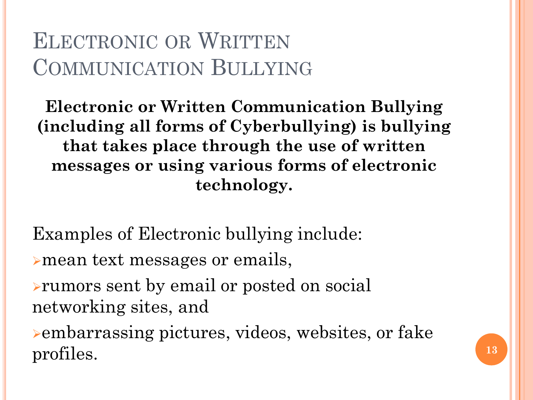### ELECTRONIC OR WRITTEN COMMUNICATION BULLYING

**Electronic or Written Communication Bullying (including all forms of Cyberbullying) is bullying that takes place through the use of written messages or using various forms of electronic technology.**

Examples of Electronic bullying include: mean text messages or emails,

rumors sent by email or posted on social networking sites, and

embarrassing pictures, videos, websites, or fake profiles. **<sup>13</sup>**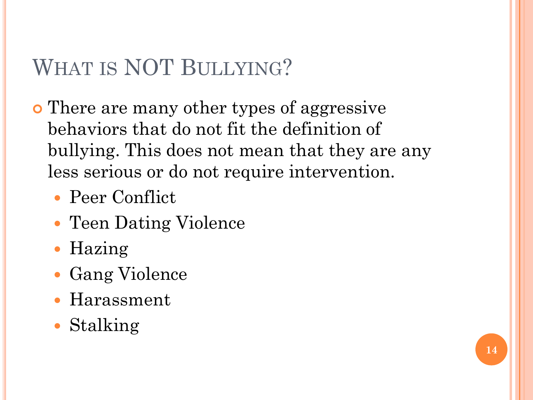### WHAT IS NOT BULLYING?

- There are many other types of aggressive behaviors that do not fit the definition of bullying. This does not mean that they are any less serious or do not require intervention.
	- Peer Conflict
	- Teen Dating Violence
	- Hazing
	- Gang Violence
	- Harassment
	- Stalking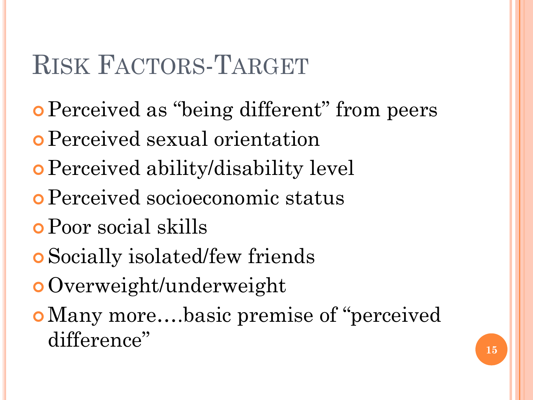# RISK FACTORS-TARGET

- **Perceived as "being different" from peers**
- Perceived sexual orientation
- Perceived ability/disability level
- Perceived socioeconomic status
- Poor social skills
- Socially isolated/few friends
- Overweight/underweight
- o Many more....basic premise of "perceived" difference" and  $\frac{15}{15}$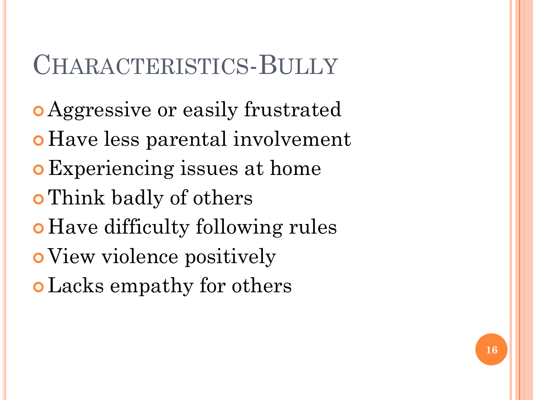## CHARACTERISTICS-BULLY

- Aggressive or easily frustrated
- Have less parental involvement
- Experiencing issues at home
- Think badly of others
- Have difficulty following rules
- View violence positively
- Lacks empathy for others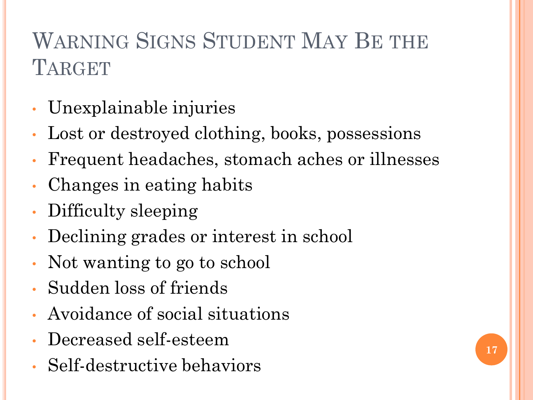## WARNING SIGNS STUDENT MAY BE THE **TARGET**

- Unexplainable injuries
- Lost or destroyed clothing, books, possessions
- Frequent headaches, stomach aches or illnesses
- Changes in eating habits
- Difficulty sleeping
- Declining grades or interest in school
- Not wanting to go to school
- Sudden loss of friends
- Avoidance of social situations
- Decreased self-esteem
- Self-destructive behaviors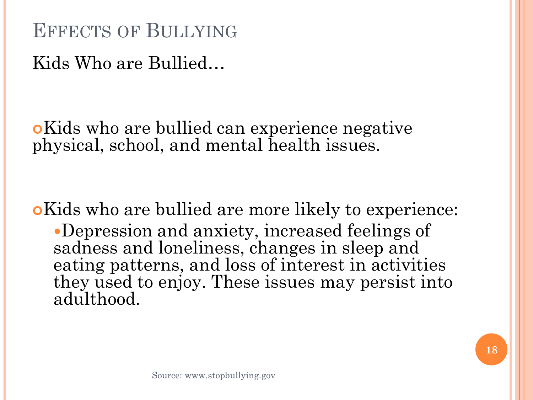EFFECTS OF BULLYING

Kids Who are Bullied…

Kids who are bullied can experience negative physical, school, and mental health issues.

Kids who are bullied are more likely to experience: Depression and anxiety, increased feelings of sadness and loneliness, changes in sleep and eating patterns, and loss of interest in activities they used to enjoy. These issues may persist into adulthood.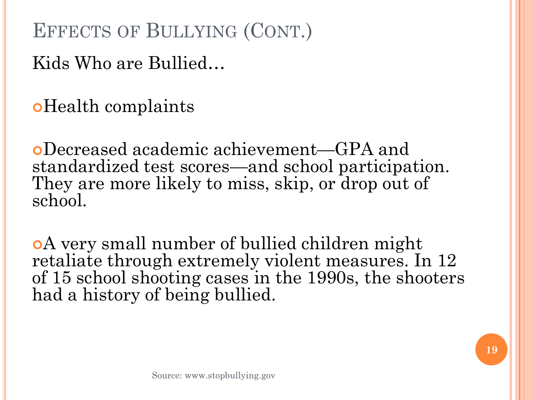EFFECTS OF BULLYING (CONT.)

Kids Who are Bullied…

oHealth complaints

Decreased academic achievement—GPA and standardized test scores—and school participation. They are more likely to miss, skip, or drop out of school.

A very small number of bullied children might retaliate through extremely violent measures. In 12 of 15 school shooting cases in the 1990s, the shooters had a history of being bullied.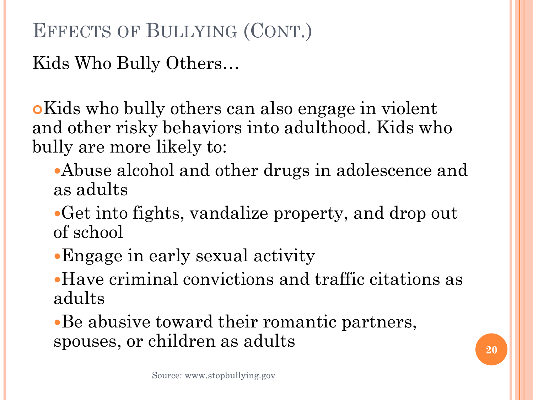### EFFECTS OF BULLYING (CONT.)

Kids Who Bully Others…

Kids who bully others can also engage in violent and other risky behaviors into adulthood. Kids who bully are more likely to:

- Abuse alcohol and other drugs in adolescence and as adults
- Get into fights, vandalize property, and drop out of school
- Engage in early sexual activity
- Have criminal convictions and traffic citations as adults
- Be abusive toward their romantic partners, spouses, or children as adults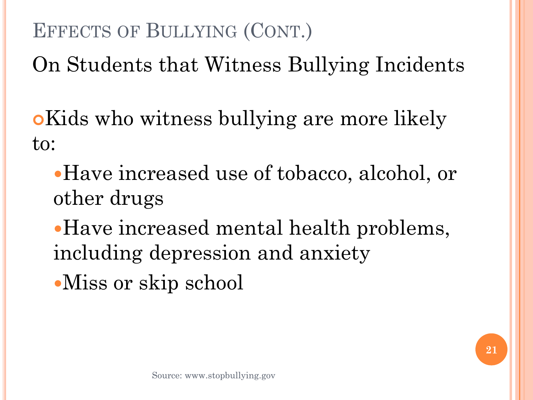### EFFECTS OF BULLYING (CONT.)

On Students that Witness Bullying Incidents

**o**Kids who witness bullying are more likely to:

- Have increased use of tobacco, alcohol, or other drugs
- Have increased mental health problems, including depression and anxiety
- Miss or skip school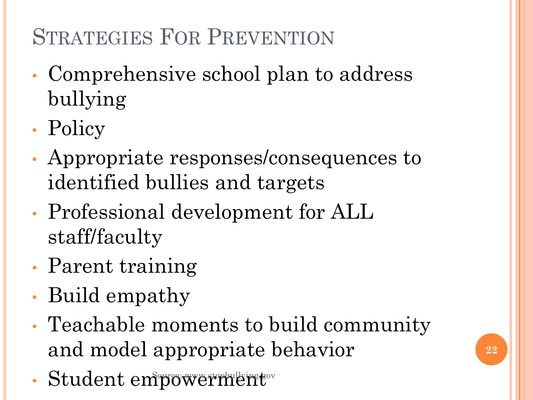## STRATEGIES FOR PREVENTION

- Comprehensive school plan to address bullying
- Policy
- Appropriate responses/consequences to identified bullies and targets
- Professional development for ALL staff/faculty
- Parent training
- Build empathy
- Teachable moments to build community and model appropriate behavior
- Student empowerment Student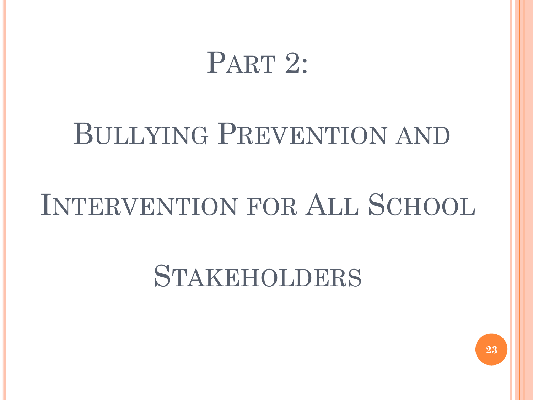# PART 2:

# BULLYING PREVENTION AND

# INTERVENTION FOR ALL SCHOOL

# STAKEHOLDERS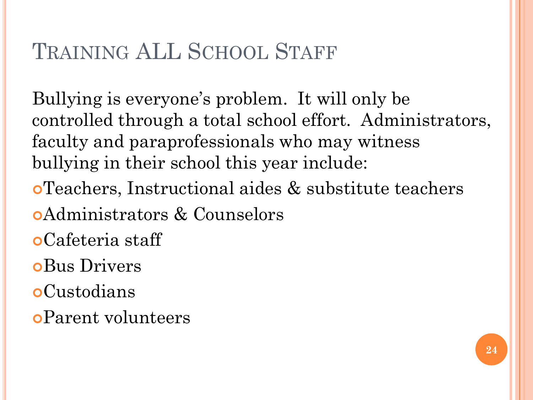### TRAINING ALL SCHOOL STAFF

Bullying is everyone's problem. It will only be controlled through a total school effort. Administrators, faculty and paraprofessionals who may witness bullying in their school this year include:

- Teachers, Instructional aides & substitute teachers
- Administrators & Counselors
- Cafeteria staff
- Bus Drivers
- Custodians
- Parent volunteers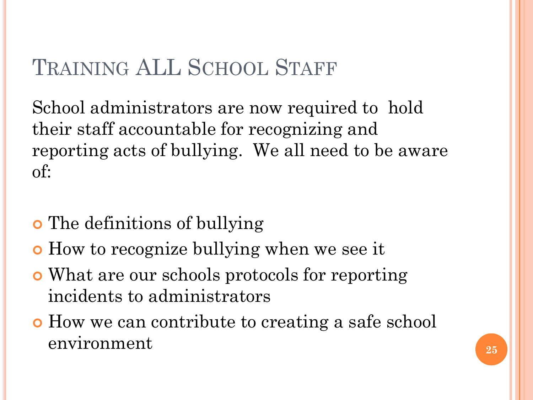### TRAINING ALL SCHOOL STAFF

School administrators are now required to hold their staff accountable for recognizing and reporting acts of bullying. We all need to be aware of:

- The definitions of bullying
- How to recognize bullying when we see it
- What are our schools protocols for reporting incidents to administrators
- How we can contribute to creating a safe school environment **<sup>25</sup>**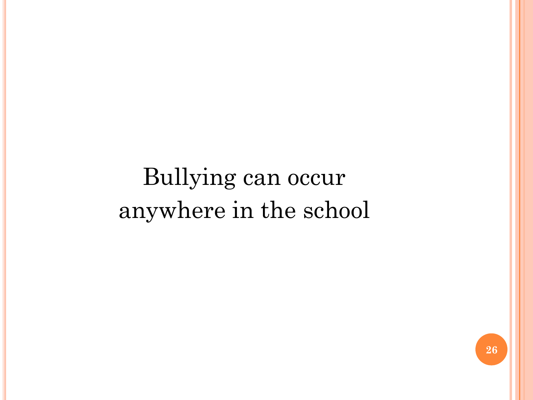# Bullying can occur anywhere in the school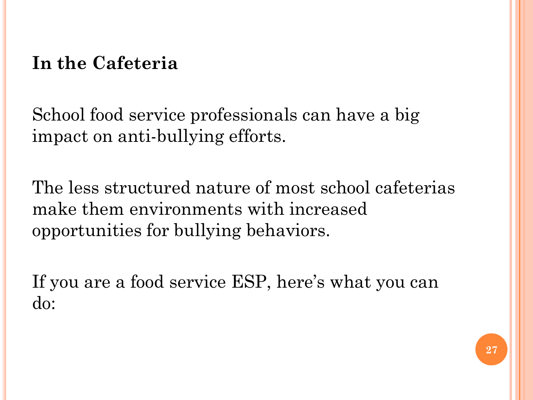#### **In the Cafeteria**

School food service professionals can have a big impact on anti-bullying efforts.

The less structured nature of most school cafeterias make them environments with increased opportunities for bullying behaviors.

If you are a food service ESP, here's what you can do: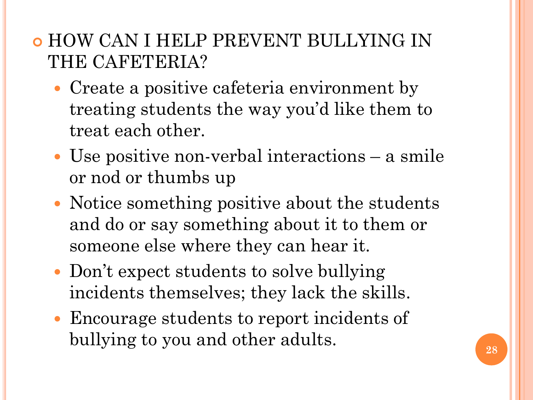#### **• HOW CAN I HELP PREVENT BULLYING IN** THE CAFETERIA?

- Create a positive cafeteria environment by treating students the way you'd like them to treat each other.
- Use positive non-verbal interactions a smile or nod or thumbs up
- Notice something positive about the students and do or say something about it to them or someone else where they can hear it.
- Don't expect students to solve bullying incidents themselves; they lack the skills.
- Encourage students to report incidents of bullying to you and other adults.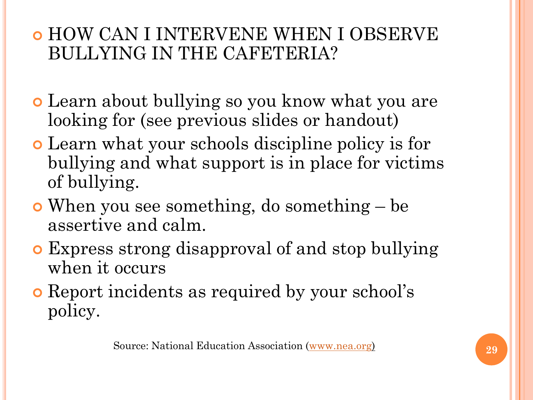#### HOW CAN I INTERVENE WHEN I OBSERVE BULLYING IN THE CAFETERIA?

- Learn about bullying so you know what you are looking for (see previous slides or handout)
- Learn what your schools discipline policy is for bullying and what support is in place for victims of bullying.
- When you see something, do something be assertive and calm.
- Express strong disapproval of and stop bullying when it occurs
- Report incidents as required by your school's policy.

Source: National Education Association [\(www.nea.org](http://www.nea.org/)) **29**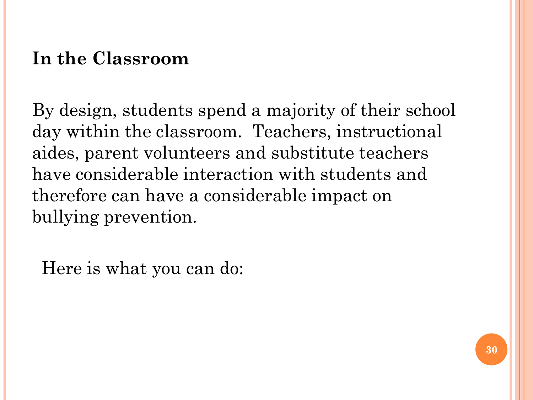### **In the Classroom**

By design, students spend a majority of their school day within the classroom. Teachers, instructional aides, parent volunteers and substitute teachers have considerable interaction with students and therefore can have a considerable impact on bullying prevention.

Here is what you can do: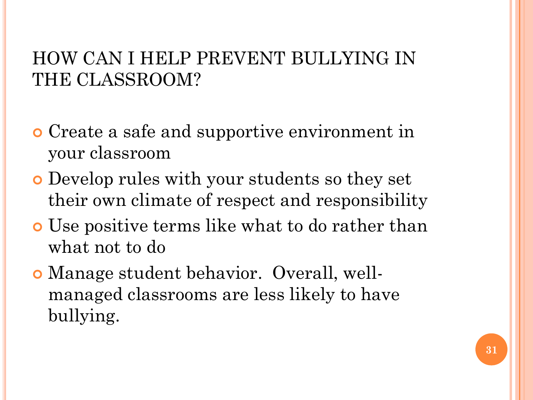#### HOW CAN I HELP PREVENT BULLYING IN THE CLASSROOM?

- Create a safe and supportive environment in your classroom
- Develop rules with your students so they set their own climate of respect and responsibility
- Use positive terms like what to do rather than what not to do
- Manage student behavior. Overall, wellmanaged classrooms are less likely to have bullying.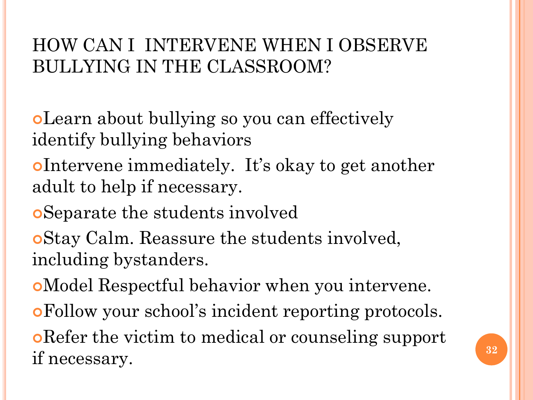### HOW CAN I INTERVENE WHEN I OBSERVE BULLYING IN THE CLASSROOM?

Learn about bullying so you can effectively identify bullying behaviors

Intervene immediately. It's okay to get another adult to help if necessary.

Separate the students involved

Stay Calm. Reassure the students involved, including bystanders.

Model Respectful behavior when you intervene.

Follow your school's incident reporting protocols.

Refer the victim to medical or counseling support if necessary. **<sup>32</sup>**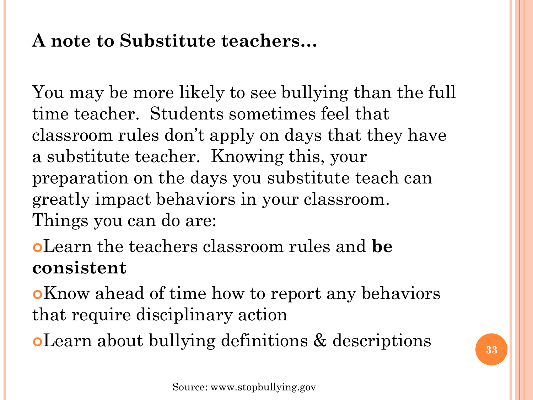### **A note to Substitute teachers…**

You may be more likely to see bullying than the full time teacher. Students sometimes feel that classroom rules don't apply on days that they have a substitute teacher. Knowing this, your preparation on the days you substitute teach can greatly impact behaviors in your classroom. Things you can do are:

Learn the teachers classroom rules and **be consistent**

Know ahead of time how to report any behaviors that require disciplinary action

Learn about bullying definitions & descriptions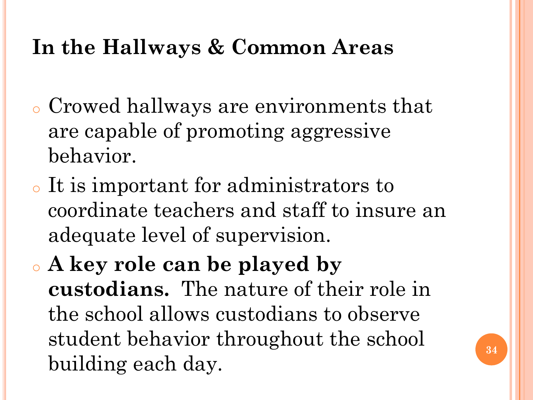### **In the Hallways & Common Areas**

- <sup>o</sup> Crowed hallways are environments that are capable of promoting aggressive behavior.
- <sup>o</sup> It is important for administrators to coordinate teachers and staff to insure an adequate level of supervision.
- <sup>o</sup> **A key role can be played by custodians.** The nature of their role in the school allows custodians to observe student behavior throughout the school building each day.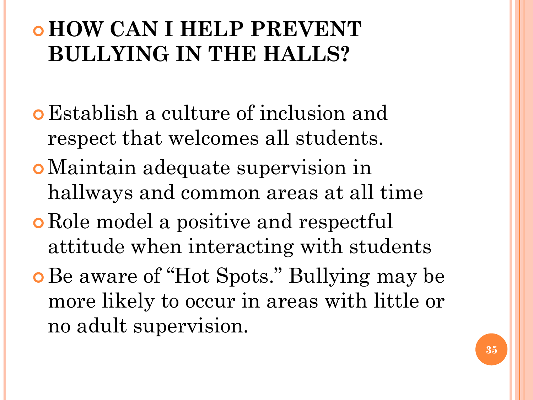### **HOW CAN I HELP PREVENT BULLYING IN THE HALLS?**

- Establish a culture of inclusion and respect that welcomes all students.
- Maintain adequate supervision in hallways and common areas at all time
- **o** Role model a positive and respectful attitude when interacting with students
- **o** Be aware of "Hot Spots." Bullying may be more likely to occur in areas with little or no adult supervision.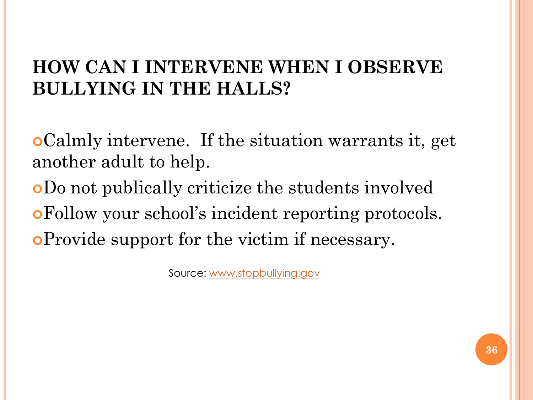#### **HOW CAN I INTERVENE WHEN I OBSERVE BULLYING IN THE HALLS?**

Calmly intervene. If the situation warrants it, get another adult to help. Do not publically criticize the students involved

Follow your school's incident reporting protocols.

Provide support for the victim if necessary.

Source: [www.stopbullying.gov](http://www.stopbullying.gov/)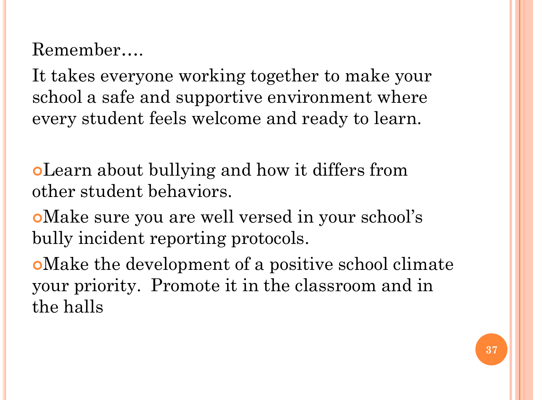Remember….

It takes everyone working together to make your school a safe and supportive environment where every student feels welcome and ready to learn.

Learn about bullying and how it differs from other student behaviors.

Make sure you are well versed in your school's bully incident reporting protocols.

Make the development of a positive school climate your priority. Promote it in the classroom and in the halls